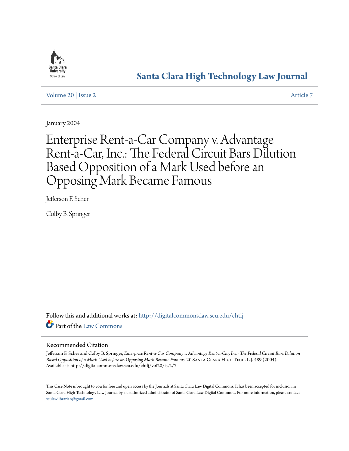

# **[Santa Clara High Technology Law Journal](http://digitalcommons.law.scu.edu/chtlj?utm_source=digitalcommons.law.scu.edu%2Fchtlj%2Fvol20%2Fiss2%2F7&utm_medium=PDF&utm_campaign=PDFCoverPages)**

[Volume 20](http://digitalcommons.law.scu.edu/chtlj/vol20?utm_source=digitalcommons.law.scu.edu%2Fchtlj%2Fvol20%2Fiss2%2F7&utm_medium=PDF&utm_campaign=PDFCoverPages) | [Issue 2](http://digitalcommons.law.scu.edu/chtlj/vol20/iss2?utm_source=digitalcommons.law.scu.edu%2Fchtlj%2Fvol20%2Fiss2%2F7&utm_medium=PDF&utm_campaign=PDFCoverPages) [Article 7](http://digitalcommons.law.scu.edu/chtlj/vol20/iss2/7?utm_source=digitalcommons.law.scu.edu%2Fchtlj%2Fvol20%2Fiss2%2F7&utm_medium=PDF&utm_campaign=PDFCoverPages)

January 2004

# Enterprise Rent-a-Car Company v. Advantage Rent-a-Car, Inc.: The Federal Circuit Bars Dilution Based Opposition of a Mark Used before an Opposing Mark Became Famous

Jefferson F. Scher

Colby B. Springer

Follow this and additional works at: [http://digitalcommons.law.scu.edu/chtlj](http://digitalcommons.law.scu.edu/chtlj?utm_source=digitalcommons.law.scu.edu%2Fchtlj%2Fvol20%2Fiss2%2F7&utm_medium=PDF&utm_campaign=PDFCoverPages) Part of the [Law Commons](http://network.bepress.com/hgg/discipline/578?utm_source=digitalcommons.law.scu.edu%2Fchtlj%2Fvol20%2Fiss2%2F7&utm_medium=PDF&utm_campaign=PDFCoverPages)

## Recommended Citation

Jefferson F. Scher and Colby B. Springer, *Enterprise Rent-a-Car Company v. Advantage Rent-a-Car, Inc.: The Federal Circuit Bars Dilution Based Opposition of a Mark Used before an Opposing Mark Became Famous*, 20 Santa Clara High Tech. L.J. 489 (2004). Available at: http://digitalcommons.law.scu.edu/chtlj/vol20/iss2/7

This Case Note is brought to you for free and open access by the Journals at Santa Clara Law Digital Commons. It has been accepted for inclusion in Santa Clara High Technology Law Journal by an authorized administrator of Santa Clara Law Digital Commons. For more information, please contact [sculawlibrarian@gmail.com](mailto:sculawlibrarian@gmail.com).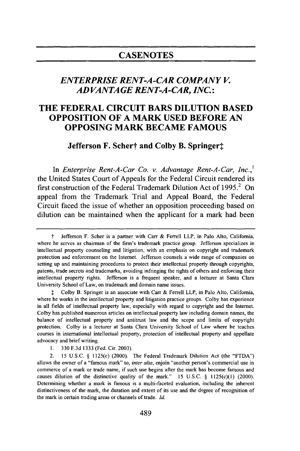# **CASENOTES**

# *ENTERPRISE RENT-A-CAR COMPANY V. AD VANTAGE RENT-A-CAR, INC.:*

# **THE FEDERAL CIRCUIT BARS DILUTION BASED OPPOSITION OF A MARK USED BEFORE AN OPPOSING MARK BECAME FAMOUS**

**Jefferson F. Schert and Colby B. Springert** 

In *Enterprise Rent-A-Car Co. v. Advantage Rent-A-Car, Inc.*<sup>1</sup> the United States Court of Appeals for the Federal Circuit rendered its first construction of the Federal Trademark Dilution Act of  $1995<sup>2</sup>$  On appeal from the Trademark Trial and Appeal Board, the Federal Circuit faced the issue of whether an opposition proceeding based on dilution can be maintained when the applicant for a mark had been

**I** Colby B. Springer is an associate with Carr & Ferrell LLP, in Palo Alto, California, where he works in the intellectual property and litigation practice groups. Colby has experience in all fields of intellectual property law, especially with regard to copyright and the Internet. Colby has published numerous articles on intellectual property law including domain names, the balance of intellectual property and antitrust law and the scope and limits of copyright protection. Colby is a lecturer at Santa Clara University School of Law where he teaches courses in international intellectual property, protection of intellectual property and appellate advocacy and brief writing.

1. 330 F.3d 1333 (Fed. Cir. 2003).

2. 15 U.S.C. § 1125(c) (2000). The Federal Trademark Dilution Act (the "FTDA") allows the owner of a "famous mark" to, *inter alia,* enjoin "another person's commercial use in commerce of a mark or trade name, if such use begins after the mark has become famous and causes dilution of the distinctive quality of the mark." 15 U.S.C. § 1125(c)(1) (2000). Determining whether a mark is famous is a multi-faceted evaluation, including the inherent distinctiveness of the mark, the duration and extent of its use and the degree of recognition of the mark in certain trading areas or channels of trade. *Id.*

t Jefferson F. Scher is a partner with Carr & Ferrell LLP, in Palo Alto, California, where he serves as chairman of the firm's trademark practice group. Jefferson specializes in intellectual property counseling and litigation, with an emphasis on copyright and trademark protection and enforcement on the Internet. Jefferson counsels a wide range of companies on setting up and maintaining procedures to protect their intellectual property through copyrights, patents, trade secrets and trademarks, avoiding infringing the rights of others and enforcing their intellectual property rights. Jefferson is a frequent speaker, and a lecturer at Santa Clara University School of Law, on trademark and domain name issues.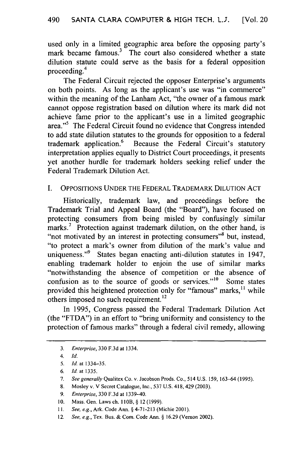used only in a limited geographic area before the opposing party's mark became famous.<sup>3</sup> The court also considered whether a state dilution statute could serve as the basis for a federal opposition proceeding.<sup>4</sup>

The Federal Circuit rejected the opposer Enterprise's arguments on both points. As long as the applicant's use was "in commerce" within the meaning of the Lanham Act, "the owner of a famous mark cannot oppose registration based on dilution where its mark did not achieve fame prior to the applicant's use in a limited geographic area."<sup>5</sup> The Federal Circuit found no evidence that Congress intended to add state dilution statutes to the grounds for opposition to a federal trademark application.<sup>6</sup> Because the Federal Circuit's statutory interpretation applies equally to District Court proceedings, it presents yet another hurdle for trademark holders seeking relief under the Federal Trademark Dilution Act.

### I. OPPOSITIONS UNDER THE FEDERAL TRADEMARK DILUTION ACT

Historically, trademark law, and proceedings before the Trademark Trial and Appeal Board (the "Board"), have focused on protecting consumers from being misled by confusingly similar marks.<sup>7</sup> Protection against trademark dilution, on the other hand, is "not motivated by an interest in protecting consumers"<sup>8</sup> but, instead, "to protect a mark's owner from dilution of the mark's value and uniqueness."<sup>9</sup> States began enacting anti-dilution statutes in 1947, enabling trademark holder to enjoin the use of similar marks "notwithstanding the absence of competition or the absence of confusion as to the source of goods or services." $10$  Some states provided this heightened protection only for "famous" marks,<sup>11</sup> while others imposed no such requirement.<sup>12</sup>

In 1995, Congress passed the Federal Trademark Dilution Act (the "FTDA") in an effort to "bring uniformity and consistency to the protection of famous marks" through a federal civil remedy, allowing

- 8. Mosley v. V Secret Catalogue, Inc., 537 U.S. 418, 429 (2003).
- 9. *Enterprise,* 330 F.3d at 1339-40.
- 10. Mass. Gen. Laws ch. **I** IOB, § 12 (1999).
- *11. See, e.g.,* Ark. Code Ann. § 4-71-213 (Michie 2001).
- 12. *See, e.g.,* Tex. Bus. & Corn. Code Ann. § 16.29 (Vernon 2002).

<sup>3.</sup> *Enterprise,* 330 F.3d at 1334.

*<sup>4.</sup> Id.*

<sup>5.</sup> *Id.* at 1334-35.

*<sup>6.</sup> Id.* at 1335.

<sup>7.</sup> *See generally* Qualitex Co. v. Jacobson Prods. Co., 514 U.S. 159, 163-64 (1995).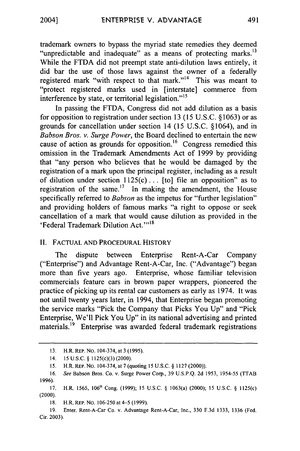trademark owners to bypass the myriad state remedies they deemed "unpredictable and inadequate" as a means of protecting marks.<sup>13</sup> While the FTDA did not preempt state anti-dilution laws entirely, it did bar the use of those laws against the owner of a federally registered mark "with respect to that mark."<sup>14</sup> This was meant to "protect registered marks used in [interstate] commerce from interference by state, or territorial legislation."<sup>15</sup>

In passing the FTDA, Congress did not add dilution as a basis for opposition to registration under section 13 (15 U.S.C. § 1063) or as grounds for cancellation under section 14 (15 U.S.C. § 1064), and in *Babson Bros. v. Surge Power,* the Board declined to entertain the new cause of action as grounds for opposition.<sup>16</sup> Congress remedied this omission in the Trademark Amendments Act of 1999 by providing that "any person who believes that he would be damaged by the registration of a mark upon the principal register, including as a result of dilution under section  $1125(c)$ ... [to] file an opposition" as to registration of the same. $17$  In making the amendment, the House specifically referred to *Babson* as the impetus for "further legislation" and providing holders of famous marks "a right to oppose or seek cancellation of a mark that would cause dilution as provided in the ederal Trademark Dilution Act."<sup>18</sup>

#### II. FACTUAL AND PROCEDURAL HISTORY

The dispute between Enterprise Rent-A-Car Company ("Enterprise") and Advantage Rent-A-Car, Inc. ("Advantage") began more than five years ago. Enterprise, whose familiar television commercials feature cars in brown paper wrappers, pioneered the practice of picking up its rental car customers as early as 1974. It was not until twenty years later, in 1994, that Enterprise began promoting the service marks "Pick the Company that Picks You Up" and "Pick Enterprise, We'll Pick You Up" in its national advertising and printed materials.<sup>19</sup> Enterprise was awarded federal trademark registrations

<sup>13.</sup> H.R. REP. NO. 104-374, at 3 (1995).

<sup>14. 15</sup> U.S.C. § 1125(c)(3) (2000).

<sup>15.</sup> H.R. REP. No. 104-374, at 7 (quoting 15 U.S.C. § 1127 (2000)).

<sup>16.</sup> *See* Babson Bros. Co. v. Surge Power Corp., 39 U.S.P.Q. 2d 1953, 1954-55 (TTAB 1996).

<sup>17.</sup> H.R. 1565, **106th** Cong. (1999); 15 U.S.C. § 1063(a) (2000); 15 U.S.C. § 1125(c) (2000).

<sup>18.</sup> **H.R. REP. No. 106-250 at 4-5 (1999).** 

**<sup>19.</sup>** Enter. Rent-A-Car Co. v. Advantage Rent-A-Car, Inc., **330 F.3d** 1333, **1336** (Fed. Cir. **2003).**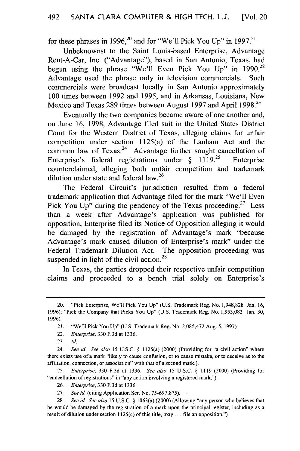for these phrases in 1996,<sup>20</sup> and for "We'll Pick You Up" in 1997.<sup>21</sup>

Unbeknownst to the Saint Louis-based Enterprise, Advantage Rent-A-Car, Inc. ("Advantage"), based in San Antonio, Texas, had begun using the phrase "We'll Even Pick You Up" in  $1990.^{22}$ Advantage used the phrase only in television commercials. Such commercials were broadcast locally in San Antonio approximately 100 times between 1992 and 1995, and in Arkansas, Louisiana, New Mexico and Texas 289 times between August 1997 and April 1998.<sup>23</sup>

Eventually the two companies became aware of one another and, on June 16, 1998, Advantage filed suit in the United States District Court for the Western District of Texas, alleging claims for unfair competition under section 1125(a) of the Lanham Act and the common law of Texas.<sup>24</sup> Advantage further sought cancellation of Enterprise's federal registrations under  $\S$  1119.<sup>25</sup> Enterprise counterclaimed, alleging both unfair competition and trademark dilution under state and federal law.<sup>26</sup>

The Federal Circuit's jurisdiction resulted from a federal trademark application that Advantage filed for the mark "We'll Even Pick You Up" during the pendency of the Texas proceeding.<sup>27</sup> Less than a week after Advantage's application was published for opposition, Enterprise filed its Notice of Opposition alleging it would be damaged by the registration of Advantage's mark "because Advantage's mark caused dilution of Enterprise's mark" under the Federal Trademark Dilution Act. The opposition proceeding was suspended in light of the civil action.<sup>28</sup>

In Texas, the parties dropped their respective unfair competition claims and proceeded to a bench trial solely on Enterprise's

25. *Enterprise,* 330 F.3d at 1336. *See also* 15 U.S.C. § 1119 (2000) (Providing for "cancellation of registrations" in "any action involving a registered mark.").

<sup>20. &</sup>quot;Pick Enterprise, We'll Pick You Up" (U.S. Trademark Reg. No. 1,948,828 Jan. 16, 1996); "Pick the Company that Picks You **Up"** (U.S. Trademark Reg. No. 1,953,083 Jan. 30, 1996).

<sup>21. &</sup>quot;We'll Pick You Up" (U.S. Trademark Reg. No. 2,085,472 Aug. 5, 1997).

<sup>22.</sup> *Enterprise,* 330 F.3d at 1336.

<sup>23.</sup> *Id.*

<sup>24.</sup> *See id. See also* 15 U.S.C. § 1125(a) (2000) (Providing for "a civil action" where there exists use of a mark "likely to cause confusion, or to cause mistake, or to deceive as to the affiliation, connection, or association" with that of a second mark.).

<sup>26.</sup> *Enterprise,* 330 F.3d at 1336.

<sup>27.</sup> *See* id. (citing Application Ser. No. 75-697,875).

<sup>28.</sup> *See* id. *See also* **15** U.S.C. § 1063(a) (2000) (Allowing "any person who believes that he would be damaged by the registration of a mark upon the principal register, including as a result of dilution under section 1125(c) of this title, may... file an opposition.").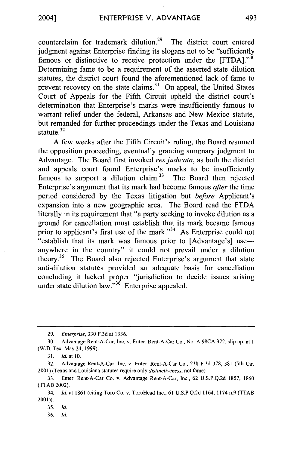counterclaim for trademark dilution.<sup>29</sup> The district court entered judgment against Enterprise finding its slogans not to be "sufficiently famous or distinctive to receive protection under the  $[FTDA]$ ."<sup>30</sup> Determining fame to be a requirement of the asserted state dilution statutes, the district court found the aforementioned lack of fame to prevent recovery on the state claims.<sup>31</sup> On appeal, the United States Court of Appeals for the Fifth Circuit upheld the district court's determination that Enterprise's marks were insufficiently famous to warrant relief under the federal, Arkansas and New Mexico statute, but remanded for further proceedings under the Texas and Louisiana statute.<sup>32</sup>

A few weeks after the Fifth Circuit's ruling, the Board resumed the opposition proceeding, eventually granting summary judgment to Advantage. The Board first invoked *res judicata*, as both the district and appeals court found Enterprise's marks to be insufficiently famous to support a dilution claim.<sup>33</sup> The Board then rejected Enterprise's argument that its mark had become famous *after* the time period considered by the Texas litigation but *before* Applicant's expansion into a new geographic area. The Board read the FTDA literally in its requirement that "a party seeking to invoke dilution as a ground for cancellation must establish that its mark became famous prior to applicant's first use of the mark."<sup>34</sup> As Enterprise could not "establish that its mark was famous prior to [Advantage's] useanywhere in the country" it could not prevail under a dilution theory.<sup>35</sup> The Board also rejected Enterprise's argument that state anti-dilution statutes provided an adequate basis for cancellation concluding it lacked proper "jurisdiction to decide issues arising under state dilution law. $\frac{36}{100}$  Enterprise appealed.

36. *Id.*

<sup>29.</sup> *Enterprise,* 330 F.3d at 1336.

<sup>30.</sup> Advantage Rent-A-Car, Inc. v. Enter. Rent-A-Car Co., No. A 98CA 372, slip op. at 1 (W.D. Tex. May 24, 1999).

<sup>31.</sup> **Id.** at **10.**

<sup>32.</sup> Advantage Rent-A-Car, Inc. v. Enter. Rent-A-Car Co., 238 F.3d 378, 381 (5th Cir. 2001) (Texas and Louisiana statutes require only *distinctiveness,* not fame).

<sup>33.</sup> Enter. Rent-A-Car Co. v. Advantage Rent-A-Car, Inc., 62 U.S.P.Q.2d 1857, 1860 (TTAB 2002).

<sup>34.</sup> *Id.* at 1861 (citing Toro Co. v. ToroHead Inc., 61 U.S.P.Q.2d 1164, 1174 n.9 (TTAB 2001)).

**<sup>35.</sup>** *Id.*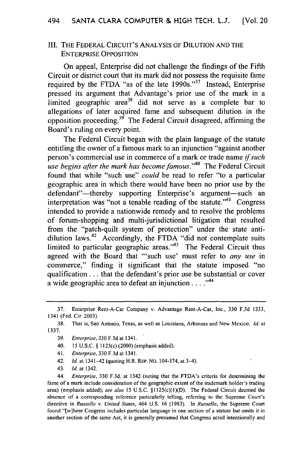#### Ill. THE FEDERAL CIRCUIT'S ANALYSIS OF DILUTION AND THE ENTERPRISE OPPOSITION

On appeal, Enterprise did not challenge the findings of the Fifth Circuit or district court that its mark did not possess the requisite fame required by the FTDA "as of the late  $1990s$ ."<sup>37</sup> Instead, Enterprise pressed its argument that Advantage's prior use of the mark in a limited geographic area<sup>38</sup> did not serve as a complete bar to allegations of later acquired fame and subsequent dilution in the opposition proceeding.<sup>39</sup> The Federal Circuit disagreed, affirming the Board's ruling on every point.

The Federal Circuit began with the plain language of the statute entitling the owner of a famous mark to an injunction "against another person's commercial use in commerce of a mark or trade name *if such use begins after the mark has become famous.*<sup>40</sup> The Federal Circuit found that while "such use" *could* be read to refer "to a particular geographic area in which there would have been no prior use by the defendant"—thereby supporting Enterprise's argument—such an interpretation was "not a tenable reading of the statute."<sup>41</sup> Congress intended to provide a nationwide remedy and to resolve the problems of forum-shopping and multi-jurisdictional litigation that resulted from the "patch-quilt system of protection" under the state antidilution laws.<sup>42</sup> Accordingly, the FTDA "did not contemplate suits limited to particular geographic areas. $143$  The Federal Circuit thus agreed with the Board that "'such use' must refer to *any use* in commerce," finding it significant that the statute imposed "no qualification **...** that the defendant's prior use be substantial or cover a wide geographic area to defeat an injunction  $\dots$ .  $^{44}$ 

- 41. Enterprise, 330 F.3d at 1341.
- 42. *Id.* at 1341-42 (quoting H.R. REP. NO. 104-374, at 3-4).
- 43. **Id.** at 1342.

44. Enterprise, 330 F.3d. at 1342 (noting that the FTDA's criteria for determining the fame of a mark include consideration of the geographic extent of the trademark holder's trading area) (emphasis added); see also 15 U.S.C.  $\S 1125(c)(1)(D)$ . The Federal Circuit deemed the absence of a corresponding reference particularly telling, referring to the Supreme Court's directive in Russello v. United States, 464 U.S. 16 (1983). In Russello, the Supreme Court found "[w]here Congress includes particular language in one section of a statute but omits it in another section of the same Act, it is generally presumed that Congress acted intentionally and

<sup>37.</sup> Enterprise Rent-A-Car Company v. Advantage Rent-A-Car, Inc., 330 F.3d 1333, 1341 (Fed. Cir. 2003).

<sup>38.</sup> That is, San Antonio, Texas, as well as Louisiana, Arkansas and New Mexico. **Id.** at 1337.

<sup>39.</sup> Enterprise, 330 F.3d at 1341.

<sup>40. 15</sup> U.S.C. § 1125(c) (2000) (emphasis added).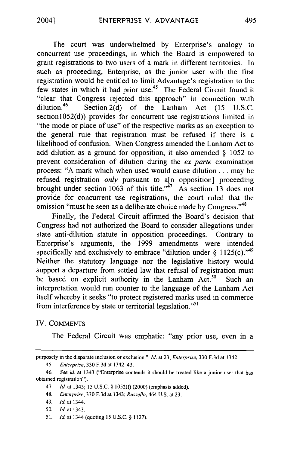The court was underwhelmed by Enterprise's analogy to concurrent use proceedings, in which the Board is empowered to grant registrations to two users of a mark in different territories. In such as proceeding, Enterprise, as the junior user with the first registration would be entitled to limit Advantage's registration to the few states in which it had prior use.45 The Federal Circuit found it "clear that Congress rejected this approach" in connection with dilution.<sup>46</sup> Section 2(d) of the Lanham Act (15 U.S.C. section1052(d)) provides for concurrent use registrations limited in "the mode or place of use" of the respective marks as an exception to the general rule that registration must be refused if there is a likelihood of confusion. When Congress amended the Lanham Act to add dilution as a ground for opposition, it also amended  $\S$  1052 to prevent consideration of dilution during the ex *parte* examination process: **"A** mark which when used would cause dilution... may be refused registration *only* pursuant to a[n opposition] proceeding brought under section 1063 of this title. $\frac{1}{47}$  As section 13 does not provide for concurrent use registrations, the court ruled that the omission "must be seen as a deliberate choice made by Congress."<sup>48</sup>

Finally, the Federal Circuit affirmed the Board's decision that Congress had not authorized the Board to consider allegations under state anti-dilution statute in opposition proceedings. Contrary to Enterprise's arguments, the 1999 amendments were intended specifically and exclusively to embrace "dilution under  $\S 1125(c)$ ."<sup>49</sup> Neither the statutory language nor the legislative history would support a departure from settled law that refusal of registration must be based on explicit authority in the Lanham Act.<sup>50</sup> Such an interpretation would run counter to the language of the Lanham Act itself whereby it seeks "to protect registered marks used in commerce from interference by state or territorial legislation."<sup>51</sup>

#### IV. COMMENTS

The Federal Circuit was emphatic: "any prior use, even in a

51. *Id.* at 1344 (quoting 15 U.S.C. § 1127).

purposely in the disparate inclusion or exclusion." *Id.* at 23; *Enterprise,* **330 F.3d** at 1342.

<sup>45.</sup> *Enterprise,* **330** F.3d at 1342-43.

<sup>46.</sup> *See id.* at 1343 ("Enterprise contends it should be treated like a junior user that has obtained registration").

<sup>47.</sup> *Id.* at 1343; 15 U.S.C. § 1052(f) (2000) (emphasis added).

<sup>48.</sup> *Enterprise,* **330** F.3d at 1343; *Russello,* 464 U.S. at 23.

<sup>49.</sup> *Id.* at 1344.

**<sup>50.</sup>** *Id.* at 1343.